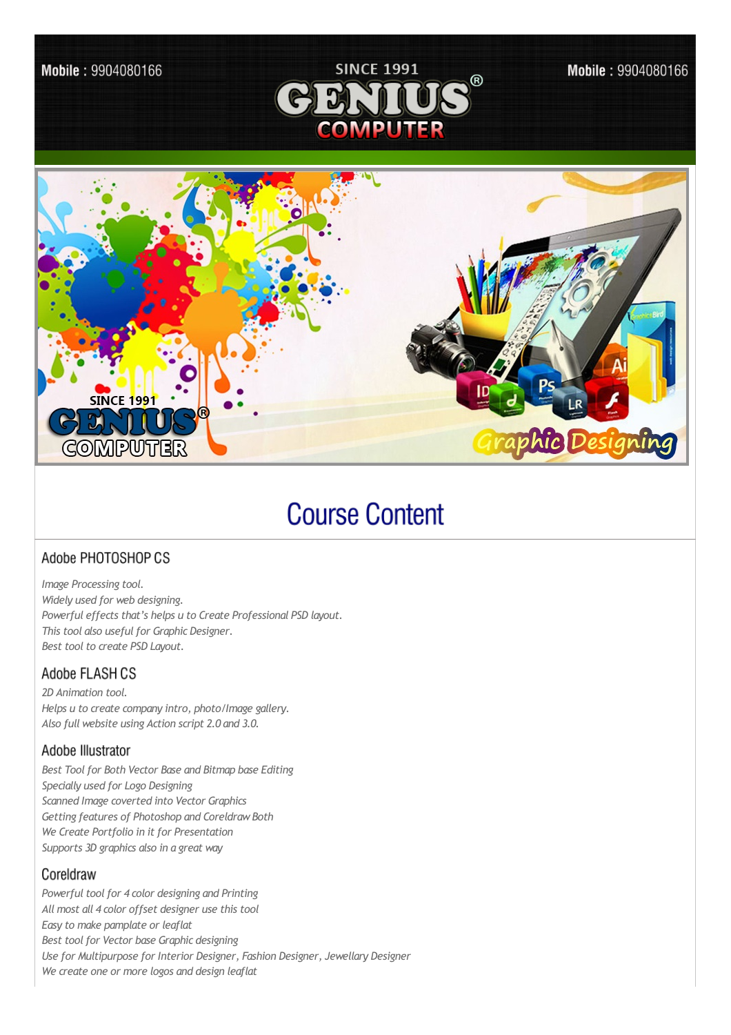

# **Course Content**

# Adobe PHOTOSHOP CS

*Image Processing tool. Widely used for web designing. Powerful effects that's helps u to Create Professional PSD layout. This tool also usefulfor Graphic Designer. Best tool to create PSD Layout.* 

### Adobe FLASH CS

*2D Animation tool. Helps u to create company intro, photo/Image gallery. Also full website using Action script 2.0 and 3.0.*

### Adobe Illustrator

*Best Toolfor Both Vector Base and Bitmap base Editing Specially used for Logo Designing Scanned Image coverted into Vector Graphics Getting features of Photoshop and CoreldrawBoth We Create Portfolio in it for Presentation Supports 3D graphics also in a great way*

### Coreldraw

*Powerful tool for 4 color designing and Printing All most all 4 color offset designer use this tool Easy to make pamplate or leaflat Best toolfor Vector base Graphic designing Use for Multipurpose for Interior Designer, Fashion Designer, Jewellary Designer We create one or more logos and design leaflat*